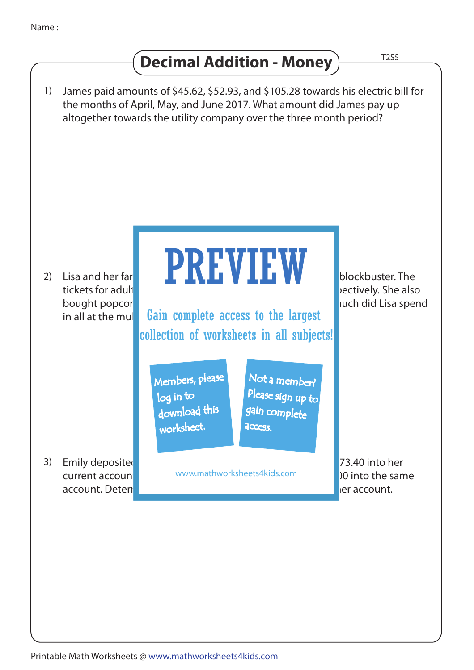## **Decimal Addition - Money**

**T2S5** 

James paid amounts of \$45.62, \$52.93, and \$105.28 towards his electric bill for the months of April, May, and June 2017. What amount did James pay up altogether towards the utility company over the three month period? Lisa and her farity were to the multiplex to the multiplex to the multiplex to catch the latest blockbuster. The tickets for adult and children costed \$60.87 and \$40.87 and \$40.87 and \$40.87 and \$40.58 respectively. She also bought popcorn and drinks working the family of the family of the family. How much did Lisa spend in all at the multiplex Emily deposited three checks worth \$429.56, \$129.33, and \$73.40 into her 3) current accoun**ter and an additional cash www.mathworksheets4kids.com** and **100 into the same** account. Determine the total amount Emily deposited into her account. 1) 2) I is a and her far PREVIEW Members, please download this worksheet. log in to Not a member? gain complete Please sign up to **access** Gain complete access to the largest collection of worksheets in all subjects!